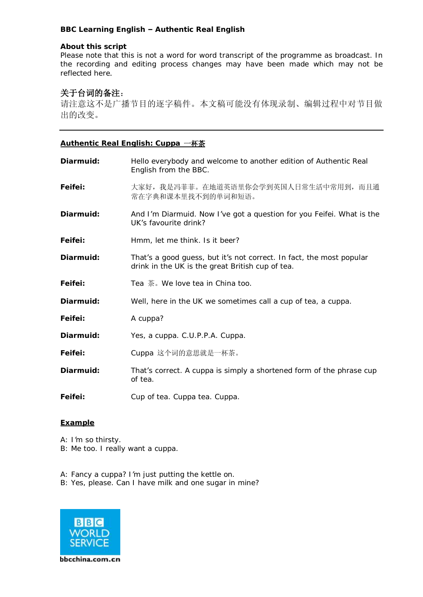## **BBC Learning English – Authentic Real English**

#### **About this script**

Please note that this is not a word for word transcript of the programme as broadcast. In the recording and editing process changes may have been made which may not be reflected here.

# 关于台词的备注:

请注意这不是广播节目的逐字稿件。本文稿可能没有体现录制、编辑过程中对节目做 出的改变。

### **Authentic Real English: Cuppa** 一杯茶

| Diarmuid: | Hello everybody and welcome to another edition of Authentic Real<br>English from the BBC.                                |
|-----------|--------------------------------------------------------------------------------------------------------------------------|
| Feifei:   | 大家好, 我是冯菲菲。在地道英语里你会学到英国人日常生活中常用到, 而且通<br>常在字典和课本里找不到的单词和短语。                                                              |
| Diarmuid: | And I'm Diarmuid. Now I've got a question for you Feifei. What is the<br>UK's favourite drink?                           |
| Feifei:   | Hmm, let me think. Is it beer?                                                                                           |
| Diarmuid: | That's a good guess, but it's not correct. In fact, the most popular<br>drink in the UK is the great British cup of tea. |
| Feifei:   | Tea 茶。 We love tea in China too.                                                                                         |
| Diarmuid: | Well, here in the UK we sometimes call a cup of tea, a cuppa.                                                            |
| Feifei:   | A cuppa?                                                                                                                 |
| Diarmuid: | Yes, a cuppa. C.U.P.P.A. Cuppa.                                                                                          |
| Feifei:   | Cuppa 这个词的意思就是一杯茶。                                                                                                       |
| Diarmuid: | That's correct. A cuppa is simply a shortened form of the phrase cup<br>of tea.                                          |
| Feifei:   | Cup of tea. Cuppa tea. Cuppa.                                                                                            |

### **Example**

*A: I'm so thirsty. B: Me too. I really want a cuppa.* 

*A: Fancy a cuppa? I'm just putting the kettle on. B: Yes, please. Can I have milk and one sugar in mine?*